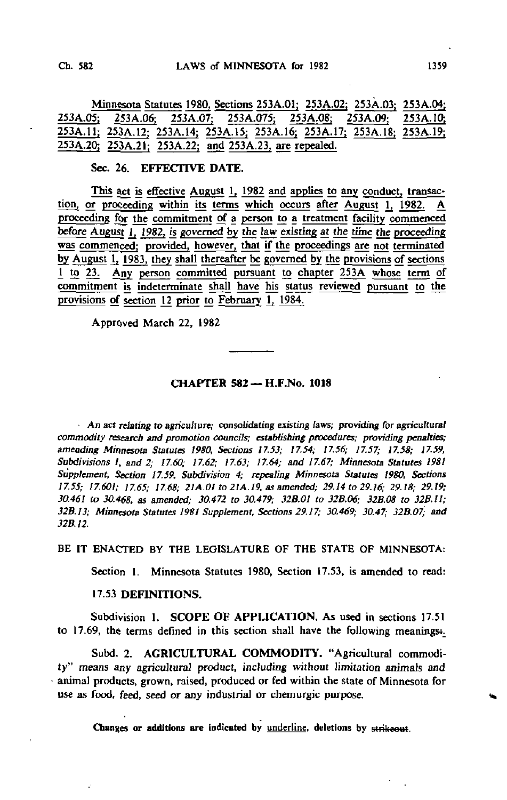Minnesota Statutes 1980, Sections 253A.01; 253A.02; 253A.03; 253A.04;<br>253A.05; 253A.06; 253A.075; 253A.075; 253A.08; 253A.09; 253A.10; 253A.05; 253A.06; 253A.07; 253A.075; 253A.08; 2S3A.Q9; 253A.1O. 253A.1I; 253A. 12; 253A. 14; 253A.15; 253A. 16; 253A.17; 253A.18; 253A.19; 253A.2Q; 253A.21; 253A.22; and 253A.23, are repealed.

#### Sec. 26. EFFECTIVE DATE.

This act is effective August 1, 1982 and applies to any conduct, transaction, or proceeding within its terms which occurs after August 1, 1982. A proceeding for the commitment of a person to a treatment facility commenced before August 1, 1982, is governed by the law existing at the time the proceeding was commenced: provided, however, that if the proceedings are not terminated by August 1, 1983, they shall thereafter be governed by the provisions of sections 1 to 23. Any person committed pursuant to chapter 253A whose term of commitment is indeterminate shall have his status reviewed pursuant to the provisions of section 12 prior to February 1, 1984.

Approved March 22, 1982

### CHAPTER 582 — H.F.No. 1018

An act relating to agriculture; consolidating existing laws; providing for agricultural commodity research and promotion councils; establishing procedures; providing penalties; amending Minnesota Statutes 1980, Sections 17.53; 17.54; 17.56; 17.57; 17.58; 17.59, Subdivisions I, and 2; 17.60; 17.62; 17.63; 17.64; and 17.67; Minnesota Statutes 1981 Supplement, Section 17.59, Subdivision 4; repealing Minnesota Statutes 1980, Sections 17.55; 17.601; 17.65; 17.68; 21A.Ol to 21A. 19, as amended; 29.14 to 29.16; 29.18; 29.19; 30.461 to 30.468. as amended; 30.472 to 30,479; 32B.01 to 32B.06; 32B.08 to 32B.il; 32B.13; Minnesota Statutes 1981 Supplement, Sections 29.17; 30.469; 30.47; 32B.07; and 32B.12.

BE IT ENACTED BY THE LEGISLATURE OF THE STATE OF MINNESOTA:

Section 1. Minnesota Statutes 1980, Section 17.53, is amended to read:

#### 17.53 DEFINITIONS.

Subdivision I. SCOPE OF APPLICATION. As used in sections 17.51 to 17.69, the terms defined in this section shall have the following meanings.

Subd. 2. AGRICULTURAL COMMODITY. "Agricultural commodity" means any agricultural product, including without limitation animals and animal products, grown, raised, produced or fed within the state of Minnesota for use as food, feed, seed or any industrial or chemurgic purpose.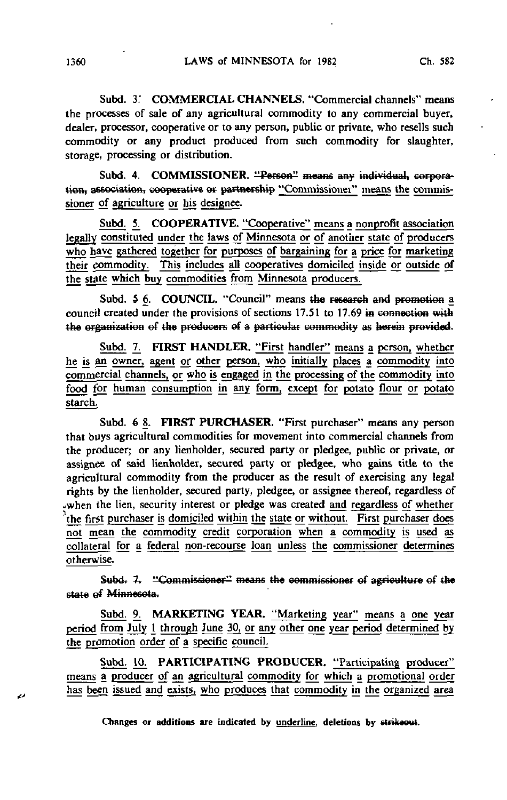Subd. 3: COMMERCIAL CHANNELS. "Commercial channels" means the processes of sale of any agricultural commodity to any commercial buyer, dealer, processor, cooperative or to any person, public or private, who resells such commodity or any product produced from such commodity for slaughter, storage, processing or distribution.

Subd. 4. COMMISSIONER. "Person" means any individual, corporation, association, cooperative or partnership "Commissioner" means the commissioner of agriculture or his designee.

Subd. 5. COOPERATIVE. "Cooperative" means a nonprofit association legally constituted under the laws of Minnesota or of another state of producers who have gathered together for purposes of bargaining for a price for marketing their commodity. This includes all cooperatives domiciled inside or outside of the state which buy commodities from Minnesota producers.

Subd. 5 6. COUNCIL. "Council" means the research and promotion a council created under the provisions of sections  $17.51$  to  $17.69$  in connection with the organization of the producers of a particular commodity as herein provided.

Subd. 7. FIRST HANDLER. "First handler" means a person, whether he is an owner, agent or other person, who initially places a commodity into commercial channels, or who is engaged in the processing of the commodity into food for human consumption in any form, except for potato flour or potato starch,

Subd. 6 8. FIRST PURCHASER. "First purchaser" means any person that buys agricultural commodities for movement into commercial channels from the producer; or any lienholder, secured party or pledgee, public or private, or assignee of said lienholder, secured party or pledgee, who gains title to the agricultural commodity from the producer as the result of exercising any legal rights by the lienholder, secured party, pledgee, or assignee thereof, regardless of 4when the lien, security interest or pledge was created and regardless of whether 'the first purchaser is domiciled within the state or without. First purchaser does not mean the commodity credit corporation when a commodity is used as collateral for a federaj non-recourse loan unless the commissioner determines otherwise.

Subd. 7. "Commissioner" means the commissioner of agriculture of the state of Minnesota.

Subd. 9. MARKETING YEAR. "Marketing year" means a one year period from July 1 through June 30, or any other one year period determined by the promotion order of a specific council.

Subd. 10. PARTICIPATING PRODUCER. "Participating producer" means a producer of an agricultural commodity for which a promotional order has been issued and exists, who produces that commodity in the organized area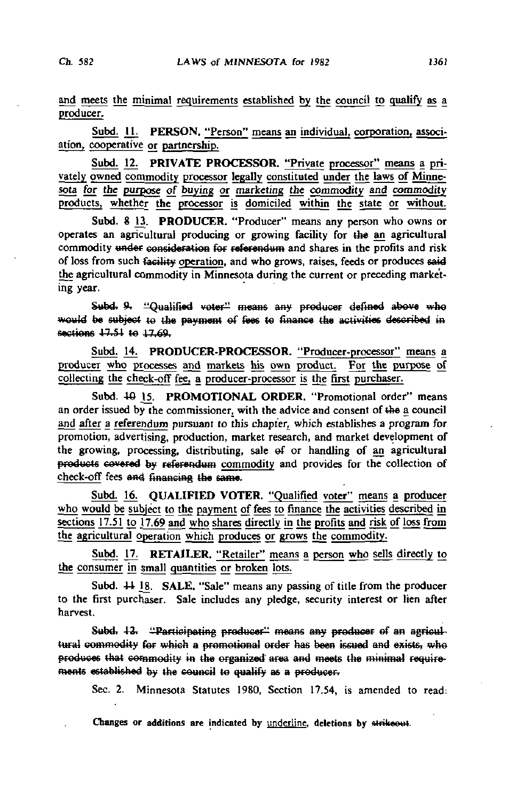and meets the minimal requirements established by the council to qualify as a producer.

Subd. 11. PERSON. "Person" means an individual, corporation, association, cooperative or partnership.

Subd. 12. PRIVATE PROCESSOR. "Private processor" means a privately owned commodity processor legally constituted under the laws of Minnesota for the purpose of buying or marketing the commodity and commodity products, whether the processor is domiciled within the state or without.

Subd. 8 13. PRODUCER. "Producer" means any person who owns or operates an agricultural producing or growing facility for the an agricultural commodity under consideration for referendum and shares in the profits and risk of loss from such facility operation, and who grows, raises, feeds or produces said the agricultural commodity in Minnesota during the current or preceding marketing year.

Subd. 9. "Qualified voter" means any producer defined above who would be subject to the payment of fees to finance the activities described in sections 17.51 to 17.69.

Subd. 14. PRODUCER-PROCESSOR. "Producer-processor" means a producer who processes and markets his own product. For the purpose of collecting the check-off fee, a producer-processor is the first purchaser.

Subd. 40 15. PROMOTIONAL ORDER. "Promotional order" means an order issued by the commissioner, with the advice and consent of the a council and after a referendum pursuant to this chapter, which establishes a program for promotion, advertising, production, market research, and market development of the growing, processing, distributing, sale ef or handling of an agricultural products covered by referendum commodity and provides for the collection of check-off fees and financing the same.

Subd. 16. QUALIFIED VOTER. "Qualified voter" means a producer who would be subject to the payment of fees to finance the activities described in sections 17.51 to 17.69 and who shares directly in the profits and risk of loss from the agricultural operation which produces or grows the commodity.

Subd. 17. RETAILER. "Retailer" means a person who sells directly to the consumer in small quantities or broken lots.

Subd.  $44$  18. SALE. "Sale" means any passing of title from the producer to the first purchaser. Sale includes any pledge, security interest or lien after harvest.

Subd. 12. "Participating producer" means any producer of an agricultural commodity for which a promotional order has been issued and exists, who produces that commodity in the organized' area and meets the minimal require' ments established by the council to qualify as a producer.

Sec. 2. Minnesota Statutes 1980, Section 17.54, is amended to read: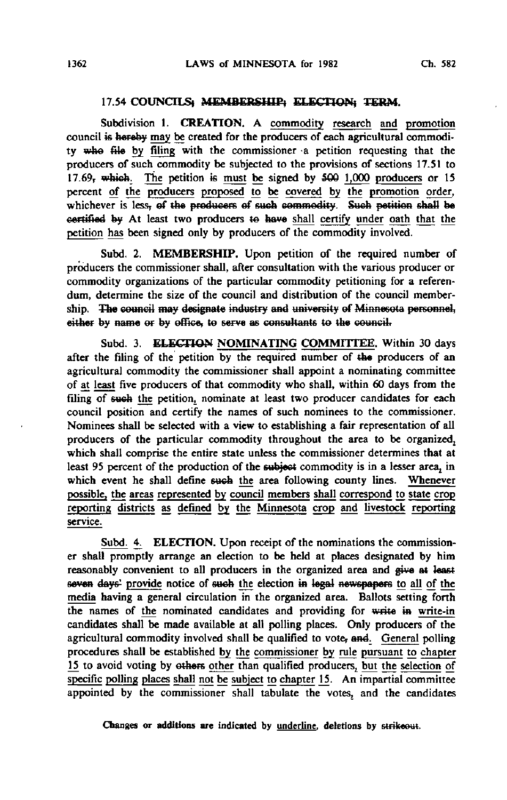### 17.54 COUNCILS) MEMBERSHIP) ELECTION! TERM.

Subdivision 1. CREATION. A commodity research and promotion council is hereby may be created for the producers of each agricultural commodity who file by filing with the commissioner a petition requesting that the producers of such commodity be subjected to the provisions of sections 17.51 to 17.69, which. The petition is must be signed by  $500$   $1,000$  producers or 15 percent of the producers proposed to be covered by the promotion order, whichever is less, of the producers of such commodity. Such petition shall be certified by At least two producers to have shall certify under oath that the petition has been signed only by producers of the commodity involved.

Subd. 2. MEMBERSHIP. Upon petition of the required number of producers the commissioner shall, after consultation with the various producer or commodity organizations of the particular commodity petitioning for a referendum, determine the size of the council and distribution of the council membership. The council may designate industry and university ef Minnesota personnel, either by name or by office, to serve as consultants to the council.

Subd. 3. ELECTION NOMINATING COMMITTEE. Within 30 days after the filing of the petition by the required number of the producers of an agricultural commodity the commissioner shall appoint a nominating committee of at least five producers of that commodity who shall, within 60 days from the filing of such the petition, nominate at least two producer candidates for each council position and certify the names of such nominees to the commissioner. Nominees shall be selected with a view to establishing a fair representation of all producers of the particular commodity throughout the area to be organized, which shall comprise the entire state unless the commissioner determines that at least 95 percent of the production of the subject commodity is in a lesser area, in which event he shall define such the area following county lines. Whenever possible, the areas represented by council members shall correspond to state crop reporting districts as defined by the Minnesota crop and livestock reporting service.

Subd. 4. ELECTION. Upon receipt of the nominations the commissioner shall promptly arrange an election to be held at places designated by him reasonably convenient to all producers in the organized area and give at least seven days' provide notice of such the election in legal newspapers to all of the media having a general circulation in the organized area. Ballots setting forth the names of the nominated candidates and providing for write in write-in candidates shall be made available at all polling places. Only producers of the agricultural commodity involved shall be qualified to vote, and. General polling procedures shall be established by the commissioner by rule pursuant to chapter 15 to avoid voting by others other than qualified producers, but the selection of specific polling places shall not be subject to chapter 15. An impartial committee appointed by the commissioner shall tabulate the votes, and the candidates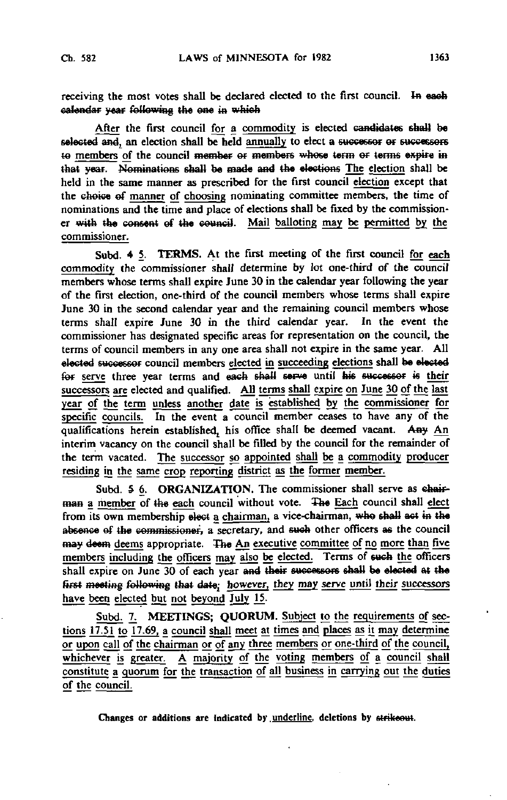receiving the most votes shall be declared elected to the first council. In each calendar year following the one in which

After the first council for a commodity is elected candidates shall be selected and, an election shall be held annually to elect a successor or successors te members of the council member or members whose term or terms expire in that year. Nominations shall be made and the elections The election shall be held in the same manner as prescribed for the first council election except that the choice of manner of choosing nominating committee members, the time of nominations and the time and place of elections shall be fixed by the commissioner with the consent of the council. Mail balloting may be permitted by the commissioner.

Subd. 4 5. TERMS. At the first meeting of the first council for each commodity the commissioner shall determine by lot one-third of the council members whose terms shall expire June 30 in the calendar year following the year of the first election, one-third of the council members whose terms shall expire June 30 in the second calendar year and the remaining council members whose terms shall expire June 30 in the third calendar year. In the event the commissioner has designated specific areas for representation on the council, the terms of council members in any one area shall not expire in the same year. All elected successor council members elected in succeeding elections shall be elected for serve three year terms and each shall serve until his successor is their successors are elected and qualified. All terms shall expire on June 30 of the last year of the term unless another date is established by the commissioner for specific councils. In the event a council member ceases to have any of the qualifications herein established, his office shall be deemed vacant. Any An interim vacancy on the council shall be filled by the council for the remainder of the term vacated. The successor so appointed shall be a commodity producer residing in the same crop reporting district as the former member.

Subd. 5 6. ORGANIZATION. The commissioner shall serve as chairman a member of the each council without vote. The Each council shall elect from its own membership elect a chairman, a vice-chairman, who shall act in the absence of the commissioner, a secretary, and such other officers as the council may deem deems appropriate. The An executive committee of no more than five members including the officers may also be elected. Terms of such the officers shall expire on June 30 of each year and their successors shall be elected at the first meeting following that date; however, they may serve until their successors have been elected but not beyond July 15.

Subd. 7. MEETINGS; QUORUM. Subject to the requirements of sections 17.51 to 17.69, a council shall meet at times and places as it may determine or upon call of the chairman or of any three members or one-third of the council, whichever is greater. A majority of the voting members of a council shall constitute a quorum for the transaction of all business in carrying out the duties of the council.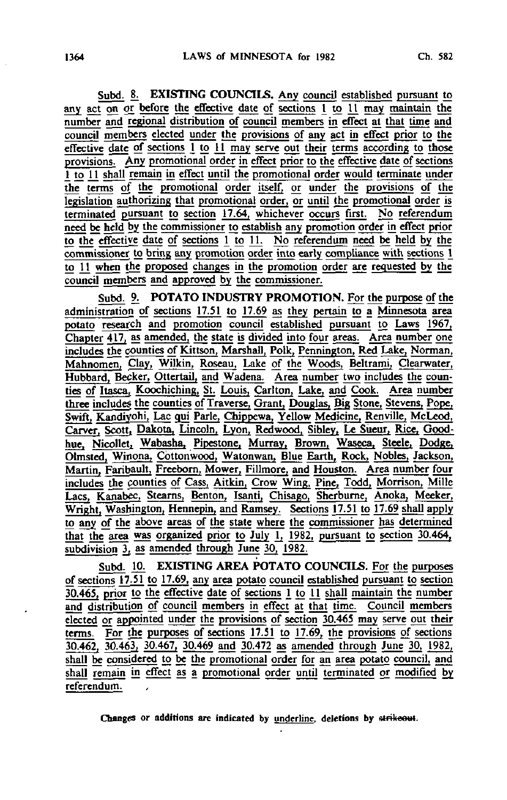Subd. 8. EXISTING COUNCILS. Any council established pursuant to any act on or before the effective date of sections 1 to 11 may maintain the number and regional distribution of council members in effect at that time and council members elected under the provisions of any act in effect prior to the effective date of sections  $1$  to  $11$  may serve out their terms according to those provisions. Any promotional order in effect prior to the effective date of sections 1 to 11 shall remain in effect until the promotional order would terminate under the terms of the promotional order itself, or under the provisions of the legislation authorizing that promotional order, or until the promotional order is terminated pursuant to section 17.64, whichever occurs first. No referendum need be held by the commissioner to establish any promotion order in effect prior to the effective date of sections 1 to 11. No referendum need be held by the commissioner to bring any promotion order into early compliance with sections 1 to 11 when the proposed changes in the promotion order are requested by\_ the council members and approved by the commissioner.

Subd. 9. POTATO INDUSTRY PROMOTION. For the purpose of the administration of sections 17.51 to 17.69 as they pertain to a Minnesota area potato research and promotion council established pursuant to Laws 1967, Chapter  $417$ , as amended, the state is divided into four areas. Area number one includes the counties of Kittson, Marshall, Polk, Pennington, Red Lake, Norman, Mahnomen, Clay, Wilkin, Roseau, Lake of the Woods, Beltrami, Clearwater, Hubbard, Becker, Ottertail, and Wadena. Area number two includes the counties of Itasca, Koochiching, St. Louis, Carlton, Lake, and Cook. Area number three includes the counties of Traverse, Grant, Douglas, Big Stone, Stevens, Pope, Swift, Kandiyohi, Lac qui Parle, Chippewa, Yellow Medicine, Renville, McLeod, Carver, Scott, Dakota, Lincoln. Lyon, Redwood, Sibley, Le Sueur, Rice, Goodhue, Nicollet, Wabasha, Pipestone, Murray, Brown, Waseca, Steele, Dodge, Olmsted, Wiflona, Cottonwood, Watonwan, Blue Earth, Rock, Nobles, Jackson, Martin. Faribault, Freeborn, Mower, Fillmore, and Houston. Area number four includes the counties of Cass, Aitkin, Crow Wing, Pine, Todd, Morrison, Mille Lacs, Kanabec, Stearns, Benton, Isanti, Chisago, Sherburne, Anoka, Meeker, Wright, Washington, Hennepin, and Ramsey. Sections 17.51 to 17.69 shall apply to any of the above areas of the state where the commissioner has determined that the area was organized prior to July  $1$ ,  $1982$ , pursuant to section 30.464, subdivision  $3<sub>t</sub>$  as amended through June 30, 1982.

Subd. 10. EXISTING AREA POTATO COUNCILS. For the purposes of sections 17.51 to 17.69, any area potato council established pursuant to section 30.465, prior to the effective date of sections 1 to 11 shall maintain the number and distribution of council members in effect at that time. Council members elected or appointed under the provisions of section 30.465 may serve out their terms. For the purposes of sections 17.51 to 17.69, the provisions of sections 30.462, 30.463, 30.467, 30.469 and 30.472 as amended through June 30, 1982, shall be considered to be the promotional order for an area potato council, and shall remain in effect as a promotional order until terminated or modified by referendum.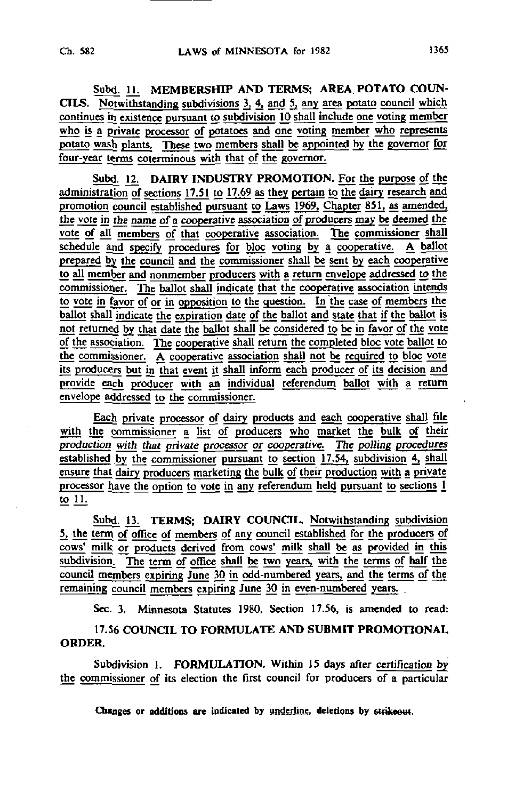Subd. 11. MEMBERSHIP AND TERMS; AREA POTATO COUN-CILS. Notwithstanding subdivisions 3, 4, and 5, any area potato council which continues in existence pursuant to subdivision 10 shall include one voting member who is a private processor of potatoes and one voting member who represents potato wash plants. These two members shall be appointed by the governor for four-year terms coterminous with that of the governor.

Subd. 12. DAIRY INDUSTRY PROMOTION. For the purpose of the administration of sections 17.51 to 17.69 as they pertain to the dairy research and promotion council established pursuant to Laws 1969, Chapter 851, as amended, the vote in the name of a cooperative association of producers may be deemed the vote of all members of that cooperative association. The commissioner shall schedule and specify procedures for bloc voting by a cooperative. A ballot prepared by the council and the commissioner shall be sent by each cooperative to all member and nonmember producers with a return envelope addressed to the commissioner. The ballot shall indicate that the cooperative association intends to vote in favor of or in opposition to the question. In the case of members the ballot shall indicate the expiration date of the ballot and state that if the ballot is not returned by that date the ballot shall be considered to be in favor of the vote of the association. The cooperative shall return the completed bloc vote ballot to the commissioner. A cooperative association shall not be required to bloc vote its producers but in that event it shall inform each producer of its decision and provide each producer with an individual referendum ballot with a return envelope addressed to the commissioner.

Each private processor of dairy products and eagh cooperative shall file with the commissioner a list of producers who market the bulk of their production with that private processor or cooperative. The polling procedures established by the commissioner pursuant to section 17.54, subdivision 4, shall ensure that dairy producers marketing the bulk of their production with a private processor have the option to vote in any referendum held pursuant to sections 1 to 11.

Subd. 13. TERMS; DAIRY COUNCIL. Notwithstanding subdivision 5, the term of office of members of any council established for the producers of cows' milk or products derived from cows' milk shall be as provided in this subdivision. The term of office shall be two years, with the terms of half the council members expiring June 30 in odd-numbered years, and the terms of the remaining council members expiring June 30 in even-numbered years.

Sec. 3. Minnesota Statutes 1980, Section 17.56, is amended to read:

17.56 COUNCIL TO FORMULATE AND SUBMIT PROMOTIONAL ORDER.

Subdivision 1. FORMULATION. Within 15 days after certification by the commissioner of its election the first council for producers of a particular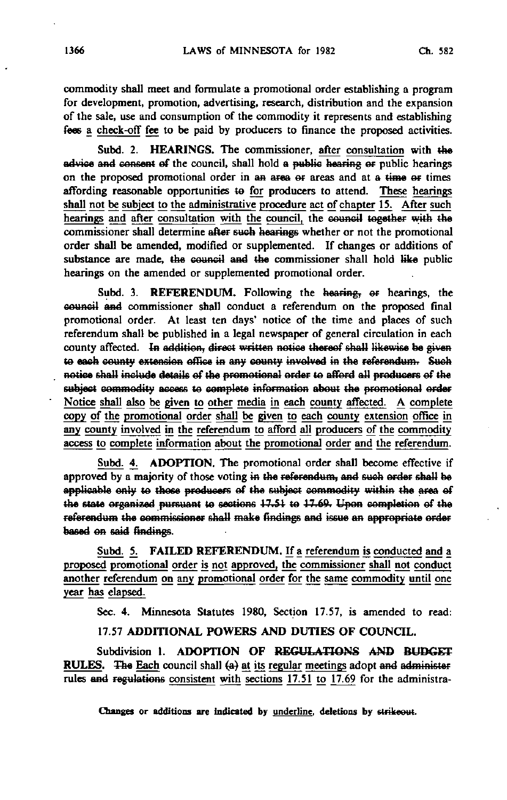commodity shall meet and formulate a promotional order establishing a program for development, promotion, advertising, research, distribution and the expansion of the sale, use and consumption of the commodity it represents and establishing fees a check-off fee to be paid by producers to finance the proposed activities.

Subd. 2. HEARINGS. The commissioner, after consultation with the advice and consent ef the council, shall hold a public hearing or public hearings on the proposed promotional order in an area or areas and at a time or times affording reasonable opportunities te for producers to attend. These hearings shall not be subject to the administrative procedure act of chapter 15. After such hearings and after consultation with the council, the council together with the commissioner shall determine after such bearings whether or not the promotional order shall be amended, modified or supplemented. If changes or additions of substance are made, the council and the commissioner shall hold like public hearings on the amended or supplemented promotional order.

Subd. 3. REFERENDUM. Following the hearing, or hearings, the council and commissioner shall conduct a referendum on the proposed final promotional order. At least ten days' notice of the time and places of such referendum shall be published in a legal newspaper of general circulation in each county affected. In addition, direct written notice thereof shall likewise be given te each county extension office in any county involved in the referendum. Such notice shaU include details ef the promotional order te afford all producers ef the subject commodity access to complete information about the promotional order Notice shall also be given to other media in each county affected. A complete copy of the promotional order shall be given to each county extension office in any county involved in the referendum to afford all producers of the commodity access to complete information about the promotional order and the referendum.

Subd. 4. ADOPTION. The promotional order shall become effective if approved by a majority of those voting in the referendum, and such order shall be applicable only to those producers of the subject commodity within the area of the state organized pursuant to sections  $17.51$  to  $17.69$ . Upon completion of the referendum the commissioner shall make findings and issue an appropriate order based on said findings.

Subd. 5. FAILED REFERENDUM. If a referendum is conducted and a proposed promotional order is not approved, the commissioner shall not conduct another referendum on any promotional order for the same commodity until one year has elapsed.

Sec. 4. Minnesota Statutes 1980, Section 17.57, is amended to read:

### 17.57 ADDITIONAL POWERS AND DUTIES OF COUNCIL.

Subdivision 1. ADOPTION OF REGULATIONS AND BUDGET RULES. The Each council shall  $(a)$  at its regular meetings adopt and administer rules and regulations consistent with sections 17.51 to 17.69 for the administra-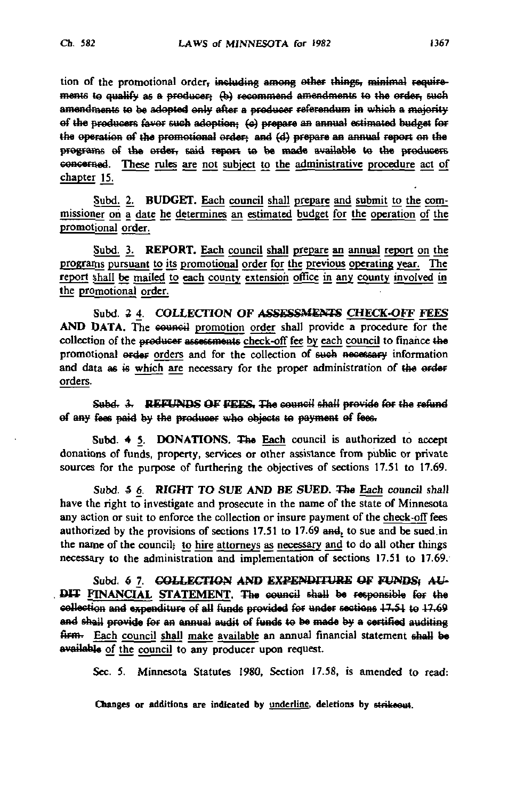tion of the promotional order, including among ether things, minimal requirements to qualify as a producer; (b) recommend amendments to the order, such amendments te he adopted only alter a producer referendum in which a majority of the producers favor such adoption: (c) prepare an annual estimated budget for the operation of the promotional order: and (d) prepare an annual report on the programs of the order, said report to be made available to the producers concerned. These rules are not subject to the administrative procedure act of chapter 15.

Subd. 2. BUDGET. Each council shall prepare and submit to the commissioner on a date he determines an estimated budget for the operation of the promotional order.

Subd. 3. REPORT. Each council shall prepare an annual report on the programs pursuant to its promotional order for the previous operating year. The report shall be mailed to each county extension office in any county involved in the promotional order.

Subd. 2 4. COLLECTION OF ASSESSMENTS CHECK-OFF FEES AND DATA. The council promotion order shall provide a procedure for the collection of the producer assessments check-off fee by each council to finance the promotional order orders and for the collection of sueh necessary information and data as is which are necessary for the proper administration of the order orders.

Subd. 3. REFUNDS OF FEES. The council shall provide for the refund of any fees paid by the producer who objects te payment of fees,

Subd. 4 5. DONATIONS. The Each council is authorized to accept donations of funds, property, services or other assistance from public or private sources for the purpose of furthering the objectives of sections 17.51 to 17.69.

Subd. 5 6. RIGHT TO SUE AND BE SUED. The Each council shall have the right to investigate and prosecute in the name of the state of Minnesota any action or suit to enforce the collection or insure payment of the check-off fees authorized by the provisions of sections 17.51 to 17.69 and, to sue and be sued in the name of the councils to hire attorneys as necessary and to do all other things necessary to the administration and implementation of sections 17.51 to 17.69.

Subd. 6 7. COLLECTION AND EXPENDITURE OF FUNDS: ALL DIT FINANCIAL STATEMENT. The council shall be responsible for the collection and expenditure of all funds provided for under sections 17.51 to 17.69 and shall provide for an annual audit of funds te be made by a certified auditing firm. Each council shall make available an annual financial statement shall be available of the council to any producer upon request.

Sec. 5. Minnesota Statutes 1980, Section 17.58, is amended to read: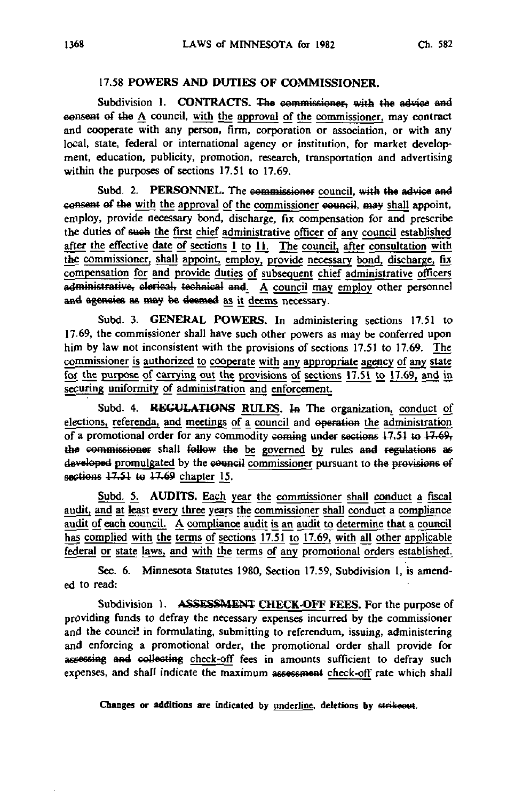# 17.58 POWERS AND DUTIES OF COMMISSIONER.

Subdivision 1. CONTRACTS. The commissioner, with the advice and consent ef the A council, with the approval of the commissioner, may contract and cooperate with any person, firm, corporation or association, or with any local, state, federal or international agency or institution, for market development, education, publicity, promotion, research, transportation and advertising within the purposes of sections 17.51 to 17.69.

Subd. 2. PERSONNEL. The commissioner council, with the advice and eeaseat ef the with the approvaj of the commissioner council, may shall appoint, employ, provide necessary bond, discharge, fix compensation for and prescribe the duties of such the first chief administrative officer of any council established after the effective date of sections  $1$  to  $11$ . The council, after consultation with the commissioner, shall appoint, employ, provide necessary bond, discharge, fix compensation for and provide duties of subsequent chief administrative officers administrative, clerical, technical and. A council may employ other personnel and agencies as may be deemed as it deems necessary.

Subd. 3. GENERAL POWERS. In administering sections 17.51 to 17-69, the commissioner shall have such other powers as may be conferred upon him by law not inconsistent with the provisions of sections 17.51 to 17.69. The commissioner is authorized to cooperate with any appropriate agency of any state for the purpose of carrying out the provisions of sections 17.51 to 17.69, and in securing uniformity of administration and enforcement.

Subd. 4. REGULATIONS RULES. In The organization, conduct of elections, referenda, and meetings of a council and operation the administration of a promotional order for any commodity coming under sections  $17.51$  to  $17.69$ the commissioner shall follow the be governed by rules and regulations as developed promulgated by the council commissioner pursuant to the provisions of sections  $17.51$  to  $17.69$  chapter 15.

Subd. 5. AUDITS. Each year the commissioner shall conduct a fiscal audit, and at least every three years the commissioner shall conduct a compliance audit of each council. A compliance audit is an audit to determine that a council has complied with the terms of sections 17.51 to 17.69, with all other applicable federal or state laws, and with the terms of any promotional orders established.

Sec. 6. Minnesota Statutes 1980, Section 17.59, Subdivision 1, is amended to read:

Subdivision 1. ASSESSMENT CHECK-OFF FEES. For the purpose of providing funds to defray the necessary expenses incurred by the commissioner and the council in formulating, submitting to referendum, issuing, administering and enforcing a promotional order, the promotional order shall provide for assessing and collecting check-off fees in amounts sufficient to defray such expenses, and shall indicate the maximum assessment check-off rate which shall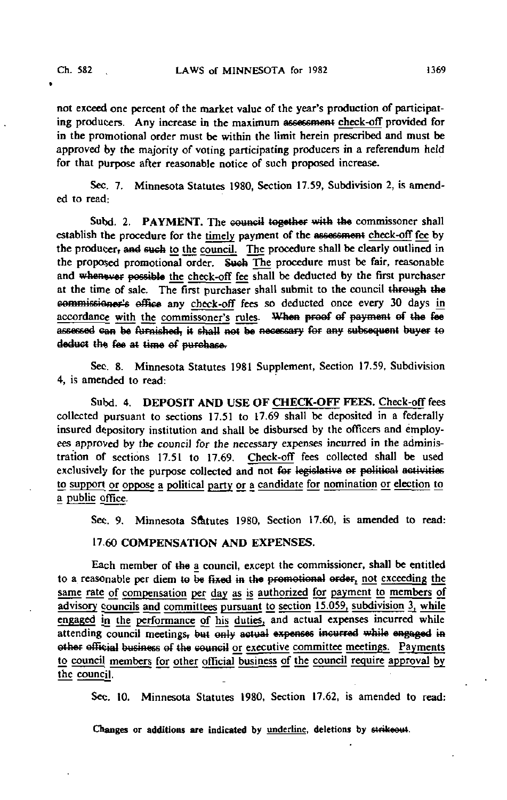not exceed one percent of the market value of the year's production of participating producers. Any increase in the maximum assessment check-off provided for in the promotional order must be within the limit herein prescribed and must be approved by the majority of voting participating producers in a referendum held for that purpose after reasonable notice of such proposed increase.

Sec. 7. Minnesota Statutes 1980, Section 17.59, Subdivision 2, is amended to read:

Subd. 2. PAYMENT. The council together with the commissoner shall establish the procedure for the timely payment of the assessment check-off fee by the producer, and such to the council. The procedure shall be clearly outlined in the proposed promotional order. Such The procedure must be fair, reasonable and whenever possible the check-off fee shall be deducted by the first purchaser at the time of sale. The first purchaser shall submit to the council through the commissioner's office any check-off fees so deducted once every 30 days in accordance with the commissoner's rules. When proof of payment of the fee assessed can be furnished, it shall net be necessary fer any subsequent buyer to deduct the fee at time of purchase.

Sec. 8. Minnesota Statutes 1981 Supplement, Section 17.59, Subdivision 4, is amended to read:

Subd. 4. DEPOSIT AND USE OF CHECK-OFF FEES. Check-off fees collected pursuant to sections 17.51 to 17.69 shall be deposited in a federally insured depository institution and shall be disbursed by the officers and employees approved by the council for the necessary expenses incurred in the administration of sections 17.51 to 17.69. Check-off fees collected shall be used exclusively for the purpose collected and not for legislative er political activities to support or oppose a political party or a candidate for nomination or election to a public office.

Sec. 9. Minnesota Statutes 1980, Section 17.60, is amended to read:

17.60 COMPENSATION AND EXPENSES.

Each member of the a council, except the commissioner, shall be entitled to a reasonable per diem to be fixed in the promotional order, not exceeding the same rate of compensation per day as is authorized for payment to members of advisory councils and committees pursuant to section 15.059, subdivision 3, while engaged in the performance of his duties, and actual expenses incurred while attending council meetings, but only actual expenses incurred while engaged in ether official business of the eeuneil or executive committee meetings. Payments to council members for other official business of the council require approval by the council.

Sec. 10. Minnesota Statutes 1980, Section 17.62, is amended to read: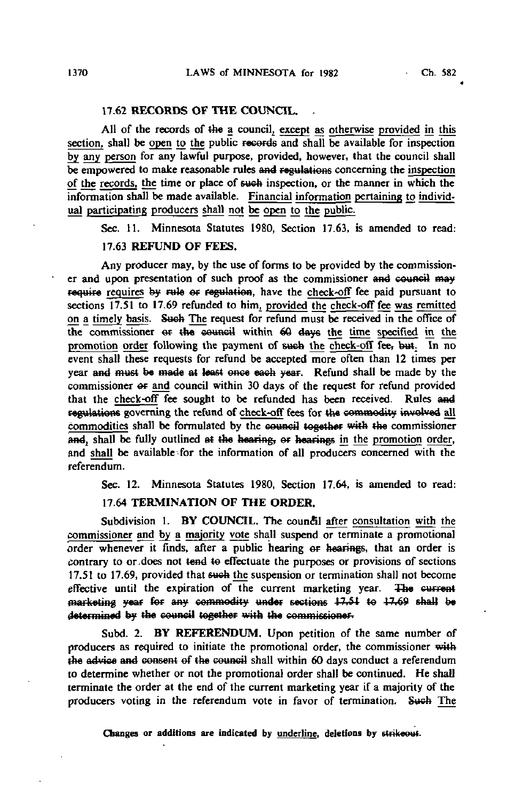## 17.62 RECORDS OF THE COUNCIL.

All of the records of the a council, except as otherwise provided in this section, shall be open to the public records and shall be available for inspection by any person for any lawful purpose, provided, however, that the council shall be empowered to make reasonable rules and regulations concerning the inspection of the records, the time or place of suck inspection, or the manner in which the information shall be made available. Financial information pertaining to individual participating producers shall not be open to the public.

Sec. 11. Minnesota Statutes 1980, Section 17.63, is amended to read:

### 17.63 REFUND OF FEES.

Any producer may, by the use of forms to be provided by the commissioner and upon presentation of such proof as the commissioner and council may require requires by rule or regulation, have the check-off fee paid pursuant to sections 17.51 to 17.69 refunded to him, provided the check-off fee was remitted on a timely basis. Sueh The request for refund must be received in the office of the commissioner or the council within 60 days the time specified in the promotion order following the payment of such the check-off fee, but. In no event shall these requests for refund be accepted more often than 12 times per year and must be made at least once each year. Refund shall be made by the commissioner &r and council within 30 days of the request for refund provided that the check-off fee sought to be refunded has been received. Rules and regulations governing the refund of check-off fees for the commodity involved all commodities shall be formulated by the council together with the commissioner and, shall be fully outlined at the hearing, or hearings in the promotion order, and shall be available'for the information of all producers concerned with the referendum.

Sec. 12. Minnesota Statutes 1980, Section 17.64, is amended to read:

# 17.64 TERMINATION OF THE ORDER.

Subdivision 1. BY COUNCIL. The council after consultation with the commissioner and by a majority vote shall suspend or terminate a promotional order whenever it finds, after a public hearing or hearings, that an order is contrary to or.does not tend te effectuate the purposes or provisions of sections 17.51 to 17.69, provided that sueh the suspension or termination shall not become effective until the expiration of the current marketing year. The current marketing year for any commodity under sections 17.51 to 17.69 shall be determined by the council together with the commissioner-

Subd. 2. BY REFERENDUM. Upon petition of the same number of producers as required to initiate the promotional order, the commissioner with the advice and consent ef the council shall within 60 days conduct a referendum to determine whether or not the promotional order shall be continued. He shall terminate the order at the end of the current marketing year if a majority of the producers voting in the referendum vote in favor of termination. Such The